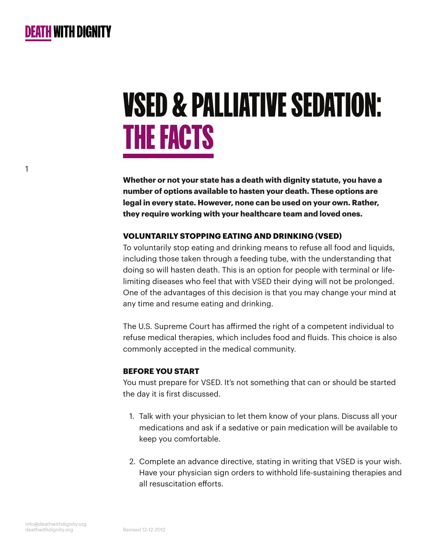

1

# VSED & PALLIATIVE SEDATION: THE FACTS

**Whether or not your state has a death with dignity statute, you have a number of options available to hasten your death. These options are legal in every state. However, none can be used on your own. Rather, they require working with your healthcare team and loved ones.**

#### **VOLUNTARILY STOPPING EATING AND DRINKING (VSED)**

To voluntarily stop eating and drinking means to refuse all food and liquids, including those taken through a feeding tube, with the understanding that doing so will hasten death. This is an option for people with terminal or lifelimiting diseases who feel that with VSED their dying will not be prolonged. One of the advantages of this decision is that you may change your mind at any time and resume eating and drinking.

The U.S. Supreme Court has affirmed the right of a competent individual to refuse medical therapies, which includes food and fluids. This choice is also commonly accepted in the medical community.

## **BEFORE YOU START**

You must prepare for VSED. It's not something that can or should be started the day it is first discussed.

- 1. Talk with your physician to let them know of your plans. Discuss all your medications and ask if a sedative or pain medication will be available to keep you comfortable.
- 2. Complete an advance directive, stating in writing that VSED is your wish. Have your physician sign orders to withhold life-sustaining therapies and all resuscitation efforts.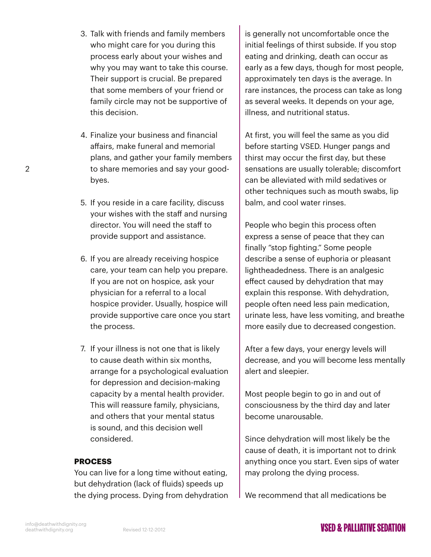- 3. Talk with friends and family members who might care for you during this process early about your wishes and why you may want to take this course. Their support is crucial. Be prepared that some members of your friend or family circle may not be supportive of this decision.
- 4. Finalize your business and financial affairs, make funeral and memorial plans, and gather your family members to share memories and say your goodbyes.
- 5. If you reside in a care facility, discuss your wishes with the staff and nursing director. You will need the staff to provide support and assistance.
- 6. If you are already receiving hospice care, your team can help you prepare. If you are not on hospice, ask your physician for a referral to a local hospice provider. Usually, hospice will provide supportive care once you start the process.
- 7. If your illness is not one that is likely to cause death within six months, arrange for a psychological evaluation for depression and decision-making capacity by a mental health provider. This will reassure family, physicians, and others that your mental status is sound, and this decision well considered.

## **PROCESS**

You can live for a long time without eating, but dehydration (lack of fluids) speeds up the dying process. Dying from dehydration is generally not uncomfortable once the initial feelings of thirst subside. If you stop eating and drinking, death can occur as early as a few days, though for most people, approximately ten days is the average. In rare instances, the process can take as long as several weeks. It depends on your age, illness, and nutritional status.

At first, you will feel the same as you did before starting VSED. Hunger pangs and thirst may occur the first day, but these sensations are usually tolerable; discomfort can be alleviated with mild sedatives or other techniques such as mouth swabs, lip balm, and cool water rinses.

People who begin this process often express a sense of peace that they can finally "stop fighting." Some people describe a sense of euphoria or pleasant lightheadedness. There is an analgesic effect caused by dehydration that may explain this response. With dehydration, people often need less pain medication, urinate less, have less vomiting, and breathe more easily due to decreased congestion.

After a few days, your energy levels will decrease, and you will become less mentally alert and sleepier.

Most people begin to go in and out of consciousness by the third day and later become unarousable.

Since dehydration will most likely be the cause of death, it is important not to drink anything once you start. Even sips of water may prolong the dying process.

We recommend that all medications be